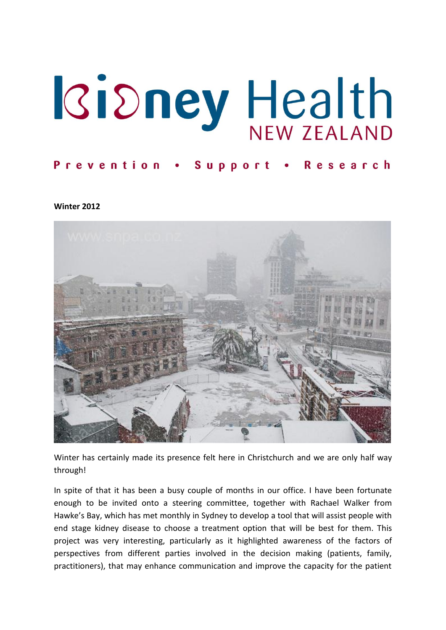# **Kidney Health**

# Prevention . Support . Research

**Winter 2012**



Winter has certainly made its presence felt here in Christchurch and we are only half way through!

In spite of that it has been a busy couple of months in our office. I have been fortunate enough to be invited onto a steering committee, together with Rachael Walker from Hawke's Bay, which has met monthly in Sydney to develop a tool that will assist people with end stage kidney disease to choose a treatment option that will be best for them. This project was very interesting, particularly as it highlighted awareness of the factors of perspectives from different parties involved in the decision making (patients, family, practitioners), that may enhance communication and improve the capacity for the patient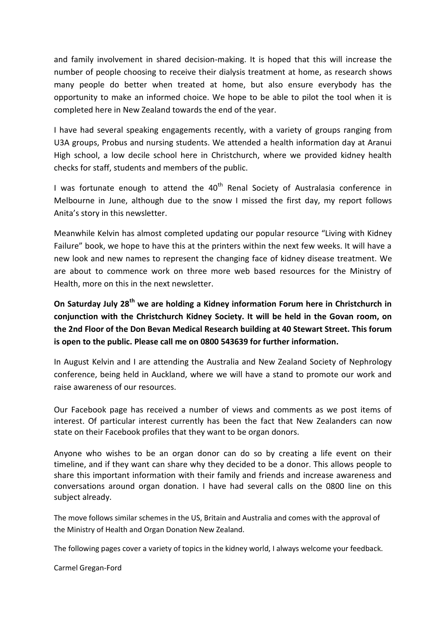and family involvement in shared decision-making. It is hoped that this will increase the number of people choosing to receive their dialysis treatment at home, as research shows many people do better when treated at home, but also ensure everybody has the opportunity to make an informed choice. We hope to be able to pilot the tool when it is completed here in New Zealand towards the end of the year.

I have had several speaking engagements recently, with a variety of groups ranging from U3A groups, Probus and nursing students. We attended a health information day at Aranui High school, a low decile school here in Christchurch, where we provided kidney health checks for staff, students and members of the public.

I was fortunate enough to attend the  $40<sup>th</sup>$  Renal Society of Australasia conference in Melbourne in June, although due to the snow I missed the first day, my report follows Anita's story in this newsletter.

Meanwhile Kelvin has almost completed updating our popular resource "Living with Kidney Failure" book, we hope to have this at the printers within the next few weeks. It will have a new look and new names to represent the changing face of kidney disease treatment. We are about to commence work on three more web based resources for the Ministry of Health, more on this in the next newsletter.

**On Saturday July 28th we are holding a Kidney information Forum here in Christchurch in conjunction with the Christchurch Kidney Society. It will be held in the Govan room, on the 2nd Floor of the Don Bevan Medical Research building at 40 Stewart Street. This forum is open to the public. Please call me on 0800 543639 for further information.**

In August Kelvin and I are attending the Australia and New Zealand Society of Nephrology conference, being held in Auckland, where we will have a stand to promote our work and raise awareness of our resources.

Our Facebook page has received a number of views and comments as we post items of interest. Of particular interest currently has been the fact that New Zealanders can now state on their Facebook profiles that they want to be organ donors.

Anyone who wishes to be an organ donor can do so by creating a life event on their timeline, and if they want can share why they decided to be a donor. This allows people to share this important information with their family and friends and increase awareness and conversations around organ donation. I have had several calls on the 0800 line on this subject already.

The move follows similar schemes in the US, Britain and Australia and comes with the approval of the Ministry of Health and Organ Donation New Zealand.

The following pages cover a variety of topics in the kidney world, I always welcome your feedback.

Carmel Gregan-Ford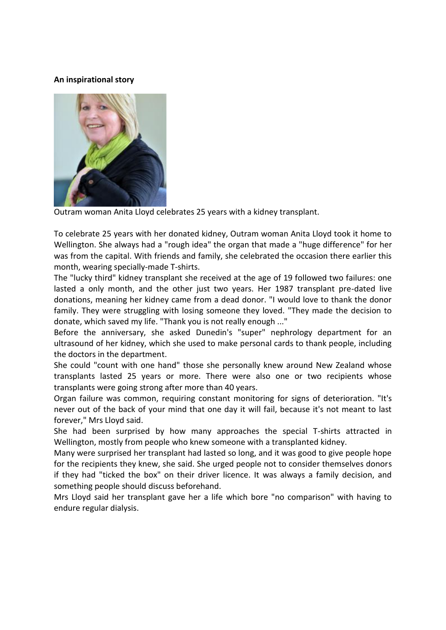#### **An inspirational story**



Outram woman Anita Lloyd celebrates 25 years with a kidney transplant.

To celebrate 25 years with her donated kidney, Outram woman Anita Lloyd took it home to Wellington. She always had a "rough idea" the organ that made a "huge difference" for her was from the capital. With friends and family, she celebrated the occasion there earlier this month, wearing specially-made T-shirts.

The "lucky third" kidney transplant she received at the age of 19 followed two failures: one lasted a only month, and the other just two years. Her 1987 transplant pre-dated live donations, meaning her kidney came from a dead donor. "I would love to thank the donor family. They were struggling with losing someone they loved. "They made the decision to donate, which saved my life. "Thank you is not really enough ..."

Before the anniversary, she asked Dunedin's "super" nephrology department for an ultrasound of her kidney, which she used to make personal cards to thank people, including the doctors in the department.

She could "count with one hand" those she personally knew around New Zealand whose transplants lasted 25 years or more. There were also one or two recipients whose transplants were going strong after more than 40 years.

Organ failure was common, requiring constant monitoring for signs of deterioration. "It's never out of the back of your mind that one day it will fail, because it's not meant to last forever," Mrs Lloyd said.

She had been surprised by how many approaches the special T-shirts attracted in Wellington, mostly from people who knew someone with a transplanted kidney.

Many were surprised her transplant had lasted so long, and it was good to give people hope for the recipients they knew, she said. She urged people not to consider themselves donors if they had "ticked the box" on their driver licence. It was always a family decision, and something people should discuss beforehand.

Mrs Lloyd said her transplant gave her a life which bore "no comparison" with having to endure regular dialysis.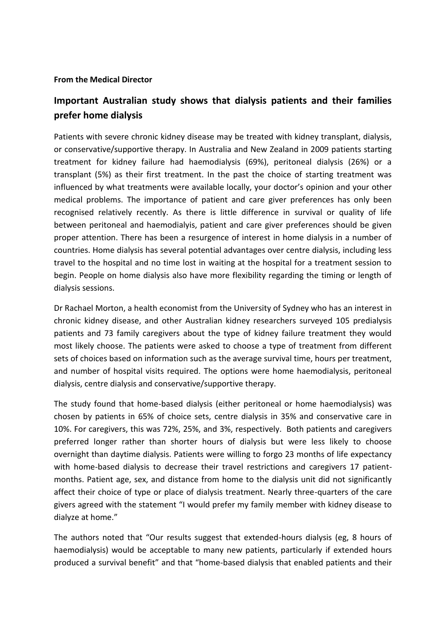#### **From the Medical Director**

# **Important Australian study shows that dialysis patients and their families prefer home dialysis**

Patients with severe chronic kidney disease may be treated with kidney transplant, dialysis, or conservative/supportive therapy. In Australia and New Zealand in 2009 patients starting treatment for kidney failure had haemodialysis (69%), peritoneal dialysis (26%) or a transplant (5%) as their first treatment. In the past the choice of starting treatment was influenced by what treatments were available locally, your doctor's opinion and your other medical problems. The importance of patient and care giver preferences has only been recognised relatively recently. As there is little difference in survival or quality of life between peritoneal and haemodialyis, patient and care giver preferences should be given proper attention. There has been a resurgence of interest in home dialysis in a number of countries. Home dialysis has several potential advantages over centre dialysis, including less travel to the hospital and no time lost in waiting at the hospital for a treatment session to begin. People on home dialysis also have more flexibility regarding the timing or length of dialysis sessions.

Dr Rachael Morton, a health economist from the University of Sydney who has an interest in chronic kidney disease, and other Australian kidney researchers surveyed 105 predialysis patients and 73 family caregivers about the type of kidney failure treatment they would most likely choose. The patients were asked to choose a type of treatment from different sets of choices based on information such as the average survival time, hours per treatment, and number of hospital visits required. The options were home haemodialysis, peritoneal dialysis, centre dialysis and conservative/supportive therapy.

The study found that home-based dialysis (either peritoneal or home haemodialysis) was chosen by patients in 65% of choice sets, centre dialysis in 35% and conservative care in 10%. For caregivers, this was 72%, 25%, and 3%, respectively. Both patients and caregivers preferred longer rather than shorter hours of dialysis but were less likely to choose overnight than daytime dialysis. Patients were willing to forgo 23 months of life expectancy with home-based dialysis to decrease their travel restrictions and caregivers 17 patientmonths. Patient age, sex, and distance from home to the dialysis unit did not significantly affect their choice of type or place of dialysis treatment. Nearly three-quarters of the care givers agreed with the statement "I would prefer my family member with kidney disease to dialyze at home."

The authors noted that "Our results suggest that extended-hours dialysis (eg, 8 hours of haemodialysis) would be acceptable to many new patients, particularly if extended hours produced a survival benefit" and that "home-based dialysis that enabled patients and their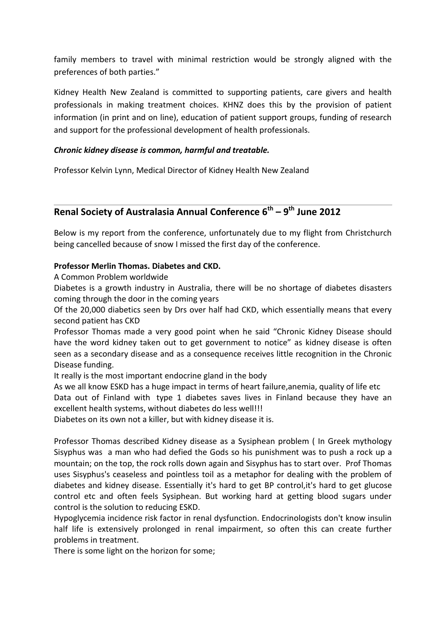family members to travel with minimal restriction would be strongly aligned with the preferences of both parties."

Kidney Health New Zealand is committed to supporting patients, care givers and health professionals in making treatment choices. KHNZ does this by the provision of patient information (in print and on line), education of patient support groups, funding of research and support for the professional development of health professionals.

#### *Chronic kidney disease is common, harmful and treatable.*

Professor Kelvin Lynn, Medical Director of Kidney Health New Zealand

# **Renal Society of Australasia Annual Conference 6th – 9 th June 2012**

Below is my report from the conference, unfortunately due to my flight from Christchurch being cancelled because of snow I missed the first day of the conference.

## **Professor Merlin Thomas. Diabetes and CKD.**

A Common Problem worldwide

Diabetes is a growth industry in Australia, there will be no shortage of diabetes disasters coming through the door in the coming years

Of the 20,000 diabetics seen by Drs over half had CKD, which essentially means that every second patient has CKD

Professor Thomas made a very good point when he said "Chronic Kidney Disease should have the word kidney taken out to get government to notice" as kidney disease is often seen as a secondary disease and as a consequence receives little recognition in the Chronic Disease funding.

It really is the most important endocrine gland in the body

As we all know ESKD has a huge impact in terms of heart failure,anemia, quality of life etc

Data out of Finland with type 1 diabetes saves lives in Finland because they have an excellent health systems, without diabetes do less well!!!

Diabetes on its own not a killer, but with kidney disease it is.

Professor Thomas described Kidney disease as a Sysiphean problem ( In Greek mythology Sisyphus was a man who had defied the Gods so his punishment was to push a rock up a mountain; on the top, the rock rolls down again and Sisyphus has to start over. Prof Thomas uses Sisyphus's ceaseless and pointless toil as a metaphor for dealing with the problem of diabetes and kidney disease. Essentially it's hard to get BP control,it's hard to get glucose control etc and often feels Sysiphean. But working hard at getting blood sugars under control is the solution to reducing ESKD.

Hypoglycemia incidence risk factor in renal dysfunction. Endocrinologists don't know insulin half life is extensively prolonged in renal impairment, so often this can create further problems in treatment.

There is some light on the horizon for some;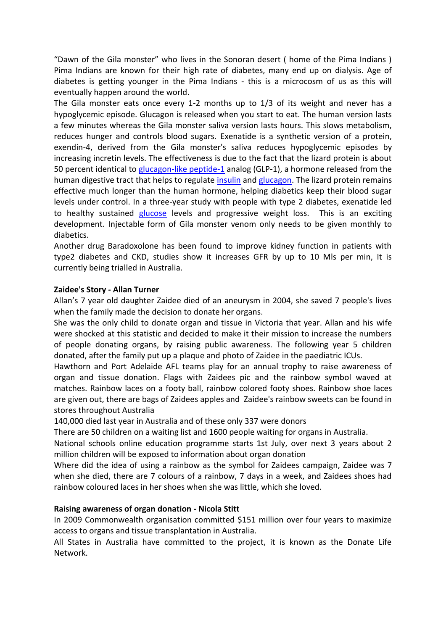"Dawn of the Gila monster" who lives in the Sonoran desert ( home of the Pima Indians ) Pima Indians are known for their high rate of diabetes, many end up on dialysis. Age of diabetes is getting younger in the Pima Indians - this is a microcosm of us as this will eventually happen around the world.

The Gila monster eats once every 1-2 months up to 1/3 of its weight and never has a hypoglycemic episode. Glucagon is released when you start to eat. The human version lasts a few minutes whereas the Gila monster saliva version lasts hours. This slows metabolism, reduces hunger and controls blood sugars. Exenatide is a synthetic version of a protein, exendin-4, derived from the Gila monster's saliva reduces hypoglycemic episodes by increasing incretin levels. The effectiveness is due to the fact that the lizard protein is about 50 percent identical to [glucagon-like peptide-1](http://en.wikipedia.org/wiki/Glucagon-like_peptide-1) analog (GLP-1), a hormone released from the human digestive tract that helps to regulate [insulin](http://en.wikipedia.org/wiki/Insulin) and [glucagon.](http://en.wikipedia.org/wiki/Glucagon) The lizard protein remains effective much longer than the human hormone, helping diabetics keep their blood sugar levels under control. In a three-year study with people with type 2 diabetes, exenatide led to healthy sustained [glucose](http://en.wikipedia.org/wiki/Glucose) levels and progressive weight loss. This is an exciting development. Injectable form of Gila monster venom only needs to be given monthly to diabetics.

Another drug Baradoxolone has been found to improve kidney function in patients with type2 diabetes and CKD, studies show it increases GFR by up to 10 Mls per min, It is currently being trialled in Australia.

#### **Zaidee's Story - Allan Turner**

Allan's 7 year old daughter Zaidee died of an aneurysm in 2004, she saved 7 people's lives when the family made the decision to donate her organs.

She was the only child to donate organ and tissue in Victoria that year. Allan and his wife were shocked at this statistic and decided to make it their mission to increase the numbers of people donating organs, by raising public awareness. The following year 5 children donated, after the family put up a plaque and photo of Zaidee in the paediatric ICUs.

Hawthorn and Port Adelaide AFL teams play for an annual trophy to raise awareness of organ and tissue donation. Flags with Zaidees pic and the rainbow symbol waved at matches. Rainbow laces on a footy ball, rainbow colored footy shoes. Rainbow shoe laces are given out, there are bags of Zaidees apples and Zaidee's rainbow sweets can be found in stores throughout Australia

140,000 died last year in Australia and of these only 337 were donors

There are 50 children on a waiting list and 1600 people waiting for organs in Australia.

National schools online education programme starts 1st July, over next 3 years about 2 million children will be exposed to information about organ donation

Where did the idea of using a rainbow as the symbol for Zaidees campaign, Zaidee was 7 when she died, there are 7 colours of a rainbow, 7 days in a week, and Zaidees shoes had rainbow coloured laces in her shoes when she was little, which she loved.

#### **Raising awareness of organ donation - Nicola Stitt**

In 2009 Commonwealth organisation committed \$151 million over four years to maximize access to organs and tissue transplantation in Australia.

All States in Australia have committed to the project, it is known as the Donate Life Network.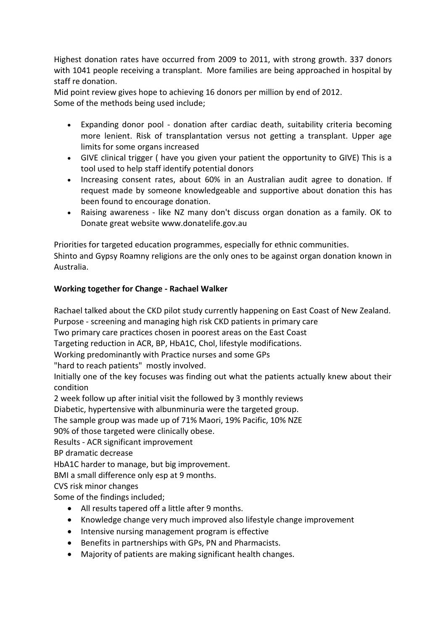Highest donation rates have occurred from 2009 to 2011, with strong growth. 337 donors with 1041 people receiving a transplant. More families are being approached in hospital by staff re donation.

Mid point review gives hope to achieving 16 donors per million by end of 2012. Some of the methods being used include;

- Expanding donor pool donation after cardiac death, suitability criteria becoming more lenient. Risk of transplantation versus not getting a transplant. Upper age limits for some organs increased
- GIVE clinical trigger ( have you given your patient the opportunity to GIVE) This is a tool used to help staff identify potential donors
- Increasing consent rates, about 60% in an Australian audit agree to donation. If request made by someone knowledgeable and supportive about donation this has been found to encourage donation.
- Raising awareness like NZ many don't discuss organ donation as a family. OK to Donate great website www.donatelife.gov.au

Priorities for targeted education programmes, especially for ethnic communities.

Shinto and Gypsy Roamny religions are the only ones to be against organ donation known in Australia.

# **Working together for Change - Rachael Walker**

Rachael talked about the CKD pilot study currently happening on East Coast of New Zealand.

Purpose - screening and managing high risk CKD patients in primary care

Two primary care practices chosen in poorest areas on the East Coast

Targeting reduction in ACR, BP, HbA1C, Chol, lifestyle modifications.

Working predominantly with Practice nurses and some GPs

"hard to reach patients" mostly involved.

Initially one of the key focuses was finding out what the patients actually knew about their condition

2 week follow up after initial visit the followed by 3 monthly reviews

Diabetic, hypertensive with albunminuria were the targeted group.

The sample group was made up of 71% Maori, 19% Pacific, 10% NZE

90% of those targeted were clinically obese.

Results - ACR significant improvement

BP dramatic decrease

HbA1C harder to manage, but big improvement.

BMI a small difference only esp at 9 months.

CVS risk minor changes

Some of the findings included;

- All results tapered off a little after 9 months.
- Knowledge change very much improved also lifestyle change improvement
- Intensive nursing management program is effective
- Benefits in partnerships with GPs, PN and Pharmacists.
- Majority of patients are making significant health changes.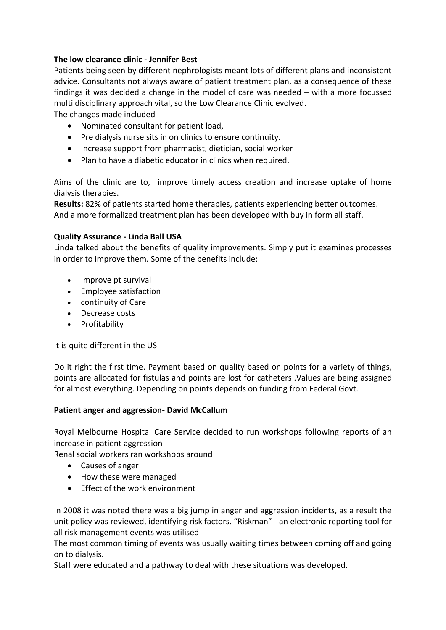## **The low clearance clinic - Jennifer Best**

Patients being seen by different nephrologists meant lots of different plans and inconsistent advice. Consultants not always aware of patient treatment plan, as a consequence of these findings it was decided a change in the model of care was needed – with a more focussed multi disciplinary approach vital, so the Low Clearance Clinic evolved.

The changes made included

- Nominated consultant for patient load,
- Pre dialysis nurse sits in on clinics to ensure continuity.
- Increase support from pharmacist, dietician, social worker
- Plan to have a diabetic educator in clinics when required.

Aims of the clinic are to, improve timely access creation and increase uptake of home dialysis therapies.

**Results:** 82% of patients started home therapies, patients experiencing better outcomes. And a more formalized treatment plan has been developed with buy in form all staff.

#### **Quality Assurance - Linda Ball USA**

Linda talked about the benefits of quality improvements. Simply put it examines processes in order to improve them. Some of the benefits include;

- Improve pt survival
- Employee satisfaction
- continuity of Care
- Decrease costs
- Profitability

It is quite different in the US

Do it right the first time. Payment based on quality based on points for a variety of things, points are allocated for fistulas and points are lost for catheters .Values are being assigned for almost everything. Depending on points depends on funding from Federal Govt.

## **Patient anger and aggression- David McCallum**

Royal Melbourne Hospital Care Service decided to run workshops following reports of an increase in patient aggression

Renal social workers ran workshops around

- Causes of anger
- How these were managed
- Fffect of the work environment

In 2008 it was noted there was a big jump in anger and aggression incidents, as a result the unit policy was reviewed, identifying risk factors. "Riskman" - an electronic reporting tool for all risk management events was utilised

The most common timing of events was usually waiting times between coming off and going on to dialysis.

Staff were educated and a pathway to deal with these situations was developed.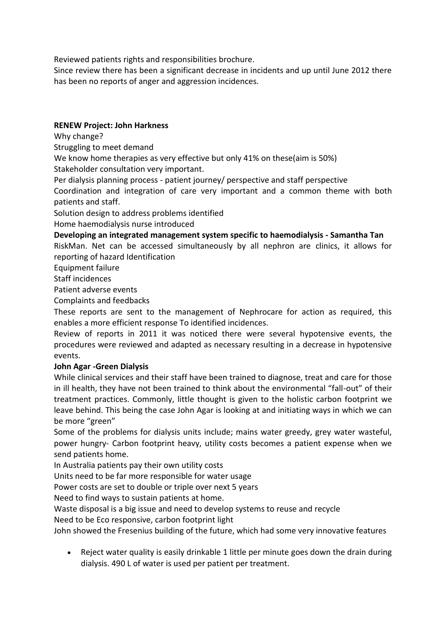Reviewed patients rights and responsibilities brochure.

Since review there has been a significant decrease in incidents and up until June 2012 there has been no reports of anger and aggression incidences.

# **RENEW Project: John Harkness**

Why change?

Struggling to meet demand

We know home therapies as very effective but only 41% on these(aim is 50%)

Stakeholder consultation very important.

Per dialysis planning process - patient journey/ perspective and staff perspective

Coordination and integration of care very important and a common theme with both patients and staff.

Solution design to address problems identified

Home haemodialysis nurse introduced

**Developing an integrated management system specific to haemodialysis - Samantha Tan**

RiskMan. Net can be accessed simultaneously by all nephron are clinics, it allows for reporting of hazard Identification

Equipment failure

Staff incidences

Patient adverse events

Complaints and feedbacks

These reports are sent to the management of Nephrocare for action as required, this enables a more efficient response To identified incidences.

Review of reports in 2011 it was noticed there were several hypotensive events, the procedures were reviewed and adapted as necessary resulting in a decrease in hypotensive events.

## **John Agar -Green Dialysis**

While clinical services and their staff have been trained to diagnose, treat and care for those in ill health, they have not been trained to think about the environmental "fall-out" of their treatment practices. Commonly, little thought is given to the holistic carbon footprint we leave behind. This being the case John Agar is looking at and initiating ways in which we can be more "green"

Some of the problems for dialysis units include; mains water greedy, grey water wasteful, power hungry- Carbon footprint heavy, utility costs becomes a patient expense when we send patients home.

In Australia patients pay their own utility costs

Units need to be far more responsible for water usage

Power costs are set to double or triple over next 5 years

Need to find ways to sustain patients at home.

Waste disposal is a big issue and need to develop systems to reuse and recycle

Need to be Eco responsive, carbon footprint light

John showed the Fresenius building of the future, which had some very innovative features

 Reject water quality is easily drinkable 1 little per minute goes down the drain during dialysis. 490 L of water is used per patient per treatment.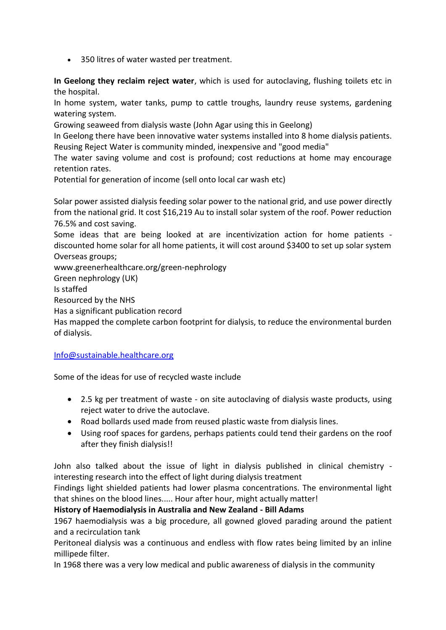350 litres of water wasted per treatment.

**In Geelong they reclaim reject water**, which is used for autoclaving, flushing toilets etc in the hospital.

In home system, water tanks, pump to cattle troughs, laundry reuse systems, gardening watering system.

Growing seaweed from dialysis waste (John Agar using this in Geelong)

In Geelong there have been innovative water systems installed into 8 home dialysis patients. Reusing Reject Water is community minded, inexpensive and "good media"

The water saving volume and cost is profound; cost reductions at home may encourage retention rates.

Potential for generation of income (sell onto local car wash etc)

Solar power assisted dialysis feeding solar power to the national grid, and use power directly from the national grid. It cost \$16,219 Au to install solar system of the roof. Power reduction 76.5% and cost saving.

Some ideas that are being looked at are incentivization action for home patients discounted home solar for all home patients, it will cost around \$3400 to set up solar system Overseas groups;

www.greenerhealthcare.org/green-nephrology

Green nephrology (UK)

Is staffed

Resourced by the NHS

Has a significant publication record

Has mapped the complete carbon footprint for dialysis, to reduce the environmental burden of dialysis.

## [Info@sustainable.healthcare.org](mailto:Info@sustainable.healthcare.org)

Some of the ideas for use of recycled waste include

- 2.5 kg per treatment of waste on site autoclaving of dialysis waste products, using reject water to drive the autoclave.
- Road bollards used made from reused plastic waste from dialysis lines.
- Using roof spaces for gardens, perhaps patients could tend their gardens on the roof after they finish dialysis!!

John also talked about the issue of light in dialysis published in clinical chemistry interesting research into the effect of light during dialysis treatment

Findings light shielded patients had lower plasma concentrations. The environmental light that shines on the blood lines..... Hour after hour, might actually matter!

**History of Haemodialysis in Australia and New Zealand - Bill Adams**

1967 haemodialysis was a big procedure, all gowned gloved parading around the patient and a recirculation tank

Peritoneal dialysis was a continuous and endless with flow rates being limited by an inline millipede filter.

In 1968 there was a very low medical and public awareness of dialysis in the community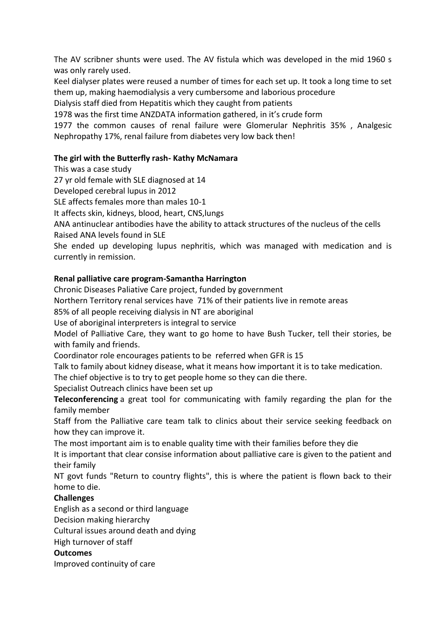The AV scribner shunts were used. The AV fistula which was developed in the mid 1960 s was only rarely used.

Keel dialyser plates were reused a number of times for each set up. It took a long time to set them up, making haemodialysis a very cumbersome and laborious procedure

Dialysis staff died from Hepatitis which they caught from patients

1978 was the first time ANZDATA information gathered, in it's crude form

1977 the common causes of renal failure were Glomerular Nephritis 35% , Analgesic Nephropathy 17%, renal failure from diabetes very low back then!

#### **The girl with the Butterfly rash- Kathy McNamara**

This was a case study

27 yr old female with SLE diagnosed at 14

Developed cerebral lupus in 2012

SLE affects females more than males 10-1

It affects skin, kidneys, blood, heart, CNS,lungs

ANA antinuclear antibodies have the ability to attack structures of the nucleus of the cells Raised ANA levels found in SLE

She ended up developing lupus nephritis, which was managed with medication and is currently in remission.

#### **Renal palliative care program-Samantha Harrington**

Chronic Diseases Paliative Care project, funded by government

Northern Territory renal services have 71% of their patients live in remote areas

85% of all people receiving dialysis in NT are aboriginal

Use of aboriginal interpreters is integral to service

Model of Palliative Care, they want to go home to have Bush Tucker, tell their stories, be with family and friends.

Coordinator role encourages patients to be referred when GFR is 15

Talk to family about kidney disease, what it means how important it is to take medication.

The chief objective is to try to get people home so they can die there.

Specialist Outreach clinics have been set up

**Teleconferencing** a great tool for communicating with family regarding the plan for the family member

Staff from the Palliative care team talk to clinics about their service seeking feedback on how they can improve it.

The most important aim is to enable quality time with their families before they die

It is important that clear consise information about palliative care is given to the patient and their family

NT govt funds "Return to country flights", this is where the patient is flown back to their home to die.

## **Challenges**

English as a second or third language

Decision making hierarchy

Cultural issues around death and dying

High turnover of staff

#### **Outcomes**

Improved continuity of care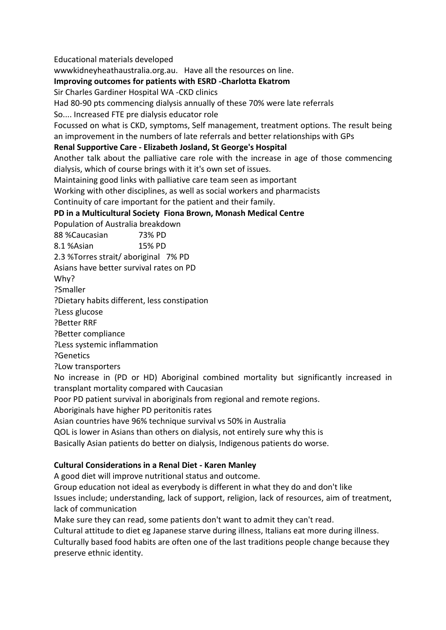Educational materials developed wwwkidneyheathaustralia.org.au. Have all the resources on line. **Improving outcomes for patients with ESRD -Charlotta Ekatrom** Sir Charles Gardiner Hospital WA -CKD clinics Had 80-90 pts commencing dialysis annually of these 70% were late referrals So.... Increased FTE pre dialysis educator role Focussed on what is CKD, symptoms, Self management, treatment options. The result being an improvement in the numbers of late referrals and better relationships with GPs **Renal Supportive Care - Elizabeth Josland, St George's Hospital** Another talk about the palliative care role with the increase in age of those commencing dialysis, which of course brings with it it's own set of issues. Maintaining good links with palliative care team seen as important Working with other disciplines, as well as social workers and pharmacists Continuity of care important for the patient and their family. **PD in a Multicultural Society Fiona Brown, Monash Medical Centre** Population of Australia breakdown 88 %Caucasian 73% PD 8.1 %Asian 15% PD 2.3 %Torres strait/ aboriginal 7% PD Asians have better survival rates on PD Why? ?Smaller ?Dietary habits different, less constipation ?Less glucose ?Better RRF ?Better compliance ?Less systemic inflammation ?Genetics ?Low transporters No increase in (PD or HD) Aboriginal combined mortality but significantly increased in transplant mortality compared with Caucasian Poor PD patient survival in aboriginals from regional and remote regions. Aboriginals have higher PD peritonitis rates Asian countries have 96% technique survival vs 50% in Australia QOL is lower in Asians than others on dialysis, not entirely sure why this is Basically Asian patients do better on dialysis, Indigenous patients do worse. **Cultural Considerations in a Renal Diet - Karen Manley**

A good diet will improve nutritional status and outcome.

Group education not ideal as everybody is different in what they do and don't like Issues include; understanding, lack of support, religion, lack of resources, aim of treatment, lack of communication

Make sure they can read, some patients don't want to admit they can't read.

Cultural attitude to diet eg Japanese starve during illness, Italians eat more during illness. Culturally based food habits are often one of the last traditions people change because they preserve ethnic identity.